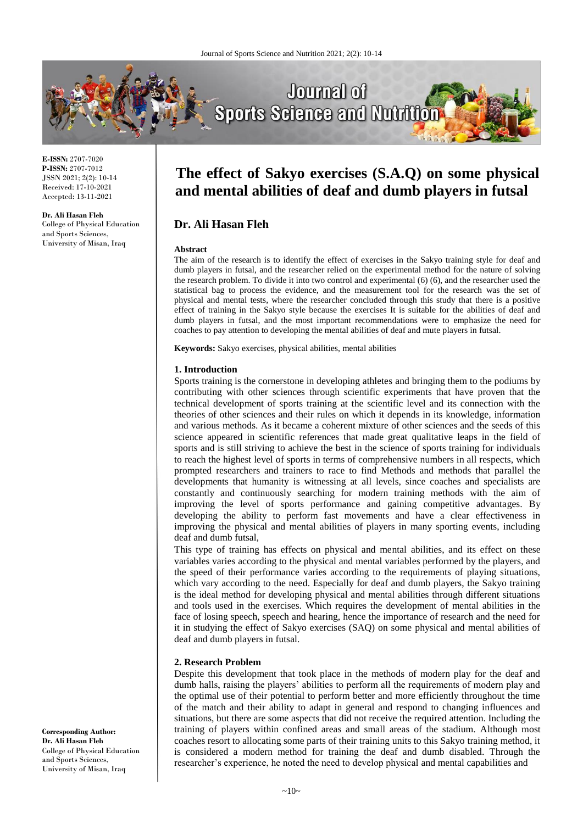

**E-ISSN:** 2707-7020 **P-ISSN:** 2707-7012 JSSN 2021; 2(2): 10-14 Received: 17-10-2021 Accepted: 13-11-2021

**Dr. Ali Hasan Fleh** College of Physical Education and Sports Sciences, University of Misan, Iraq

# **The effect of Sakyo exercises (S.A.Q) on some physical and mental abilities of deaf and dumb players in futsal**

## **Dr. Ali Hasan Fleh**

#### **Abstract**

The aim of the research is to identify the effect of exercises in the Sakyo training style for deaf and dumb players in futsal, and the researcher relied on the experimental method for the nature of solving the research problem. To divide it into two control and experimental (6) (6), and the researcher used the statistical bag to process the evidence, and the measurement tool for the research was the set of physical and mental tests, where the researcher concluded through this study that there is a positive effect of training in the Sakyo style because the exercises It is suitable for the abilities of deaf and dumb players in futsal, and the most important recommendations were to emphasize the need for coaches to pay attention to developing the mental abilities of deaf and mute players in futsal.

**Keywords:** Sakyo exercises, physical abilities, mental abilities

### **1. Introduction**

Sports training is the cornerstone in developing athletes and bringing them to the podiums by contributing with other sciences through scientific experiments that have proven that the technical development of sports training at the scientific level and its connection with the theories of other sciences and their rules on which it depends in its knowledge, information and various methods. As it became a coherent mixture of other sciences and the seeds of this science appeared in scientific references that made great qualitative leaps in the field of sports and is still striving to achieve the best in the science of sports training for individuals to reach the highest level of sports in terms of comprehensive numbers in all respects, which prompted researchers and trainers to race to find Methods and methods that parallel the developments that humanity is witnessing at all levels, since coaches and specialists are constantly and continuously searching for modern training methods with the aim of improving the level of sports performance and gaining competitive advantages. By developing the ability to perform fast movements and have a clear effectiveness in improving the physical and mental abilities of players in many sporting events, including deaf and dumb futsal,

This type of training has effects on physical and mental abilities, and its effect on these variables varies according to the physical and mental variables performed by the players, and the speed of their performance varies according to the requirements of playing situations, which vary according to the need. Especially for deaf and dumb players, the Sakyo training is the ideal method for developing physical and mental abilities through different situations and tools used in the exercises. Which requires the development of mental abilities in the face of losing speech, speech and hearing, hence the importance of research and the need for it in studying the effect of Sakyo exercises (SAQ) on some physical and mental abilities of deaf and dumb players in futsal.

### **2. Research Problem**

Despite this development that took place in the methods of modern play for the deaf and dumb halls, raising the players' abilities to perform all the requirements of modern play and the optimal use of their potential to perform better and more efficiently throughout the time of the match and their ability to adapt in general and respond to changing influences and situations, but there are some aspects that did not receive the required attention. Including the training of players within confined areas and small areas of the stadium. Although most coaches resort to allocating some parts of their training units to this Sakyo training method, it is considered a modern method for training the deaf and dumb disabled. Through the researcher's experience, he noted the need to develop physical and mental capabilities and

**Corresponding Author: Dr. Ali Hasan Fleh** College of Physical Education and Sports Sciences, University of Misan, Iraq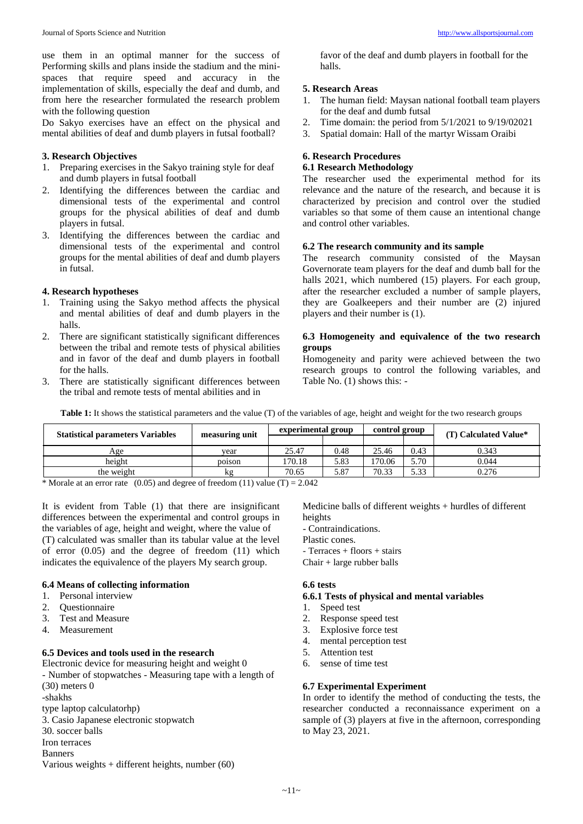use them in an optimal manner for the success of Performing skills and plans inside the stadium and the minispaces that require speed and accuracy in the implementation of skills, especially the deaf and dumb, and from here the researcher formulated the research problem with the following question

Do Sakyo exercises have an effect on the physical and mental abilities of deaf and dumb players in futsal football?

### **3. Research Objectives**

- 1. Preparing exercises in the Sakyo training style for deaf and dumb players in futsal football
- 2. Identifying the differences between the cardiac and dimensional tests of the experimental and control groups for the physical abilities of deaf and dumb players in futsal.
- 3. Identifying the differences between the cardiac and dimensional tests of the experimental and control groups for the mental abilities of deaf and dumb players in futsal.

### **4. Research hypotheses**

- 1. Training using the Sakyo method affects the physical and mental abilities of deaf and dumb players in the halls.
- 2. There are significant statistically significant differences between the tribal and remote tests of physical abilities and in favor of the deaf and dumb players in football for the halls.
- 3. There are statistically significant differences between the tribal and remote tests of mental abilities and in

favor of the deaf and dumb players in football for the halls.

### **5. Research Areas**

- 1. The human field: Maysan national football team players for the deaf and dumb futsal
- 2. Time domain: the period from 5/1/2021 to 9/19/02021
- 3. Spatial domain: Hall of the martyr Wissam Oraibi

# **6. Research Procedures**

### **6.1 Research Methodology**

The researcher used the experimental method for its relevance and the nature of the research, and because it is characterized by precision and control over the studied variables so that some of them cause an intentional change and control other variables.

### **6.2 The research community and its sample**

The research community consisted of the Maysan Governorate team players for the deaf and dumb ball for the halls 2021, which numbered (15) players. For each group, after the researcher excluded a number of sample players, they are Goalkeepers and their number are (2) injured players and their number is (1).

### **6.3 Homogeneity and equivalence of the two research groups**

Homogeneity and parity were achieved between the two research groups to control the following variables, and Table No. (1) shows this: -

**Table 1:** It shows the statistical parameters and the value (T) of the variables of age, height and weight for the two research groups

|        | experimental group |      | control group |      | (T) Calculated Value* |
|--------|--------------------|------|---------------|------|-----------------------|
|        |                    |      |               |      |                       |
| vear   | 25.47              | 0.48 | 25.46         | 0.43 | 0.343                 |
| poison | 170.18             | 5.83 | 170.06        | 5.70 | 0.044                 |
| kg     | 70.65              | 5.87 | 70.33         | 5.33 | 0.276                 |
|        | measuring unit     |      |               |      |                       |

\* Morale at an error rate  $(0.05)$  and degree of freedom (11) value (T) = 2.042

It is evident from Table (1) that there are insignificant differences between the experimental and control groups in the variables of age, height and weight, where the value of (T) calculated was smaller than its tabular value at the level of error (0.05) and the degree of freedom (11) which indicates the equivalence of the players My search group.

### **6.4 Means of collecting information**

- 1. Personal interview
- 2. Questionnaire
- 3. Test and Measure
- 4. Measurement

#### **6.5 Devices and tools used in the research**

Electronic device for measuring height and weight 0 - Number of stopwatches - Measuring tape with a length of (30) meters 0 -shakhs type laptop calculatorhp) 3. Casio Japanese electronic stopwatch

- 30. soccer balls
- Iron terraces
- Banners
- Various weights + different heights, number (60)

Medicine balls of different weights + hurdles of different heights

- Contraindications.

- Plastic cones.
- Terraces + floors + stairs
- Chair + large rubber balls

### **6.6 tests**

### **6.6.1 Tests of physical and mental variables**

- 1. Speed test
- 2. Response speed test
- 3. Explosive force test
- 4. mental perception test
- 5. Attention test
- 6. sense of time test

### **6.7 Experimental Experiment**

In order to identify the method of conducting the tests, the researcher conducted a reconnaissance experiment on a sample of (3) players at five in the afternoon, corresponding to May 23, 2021.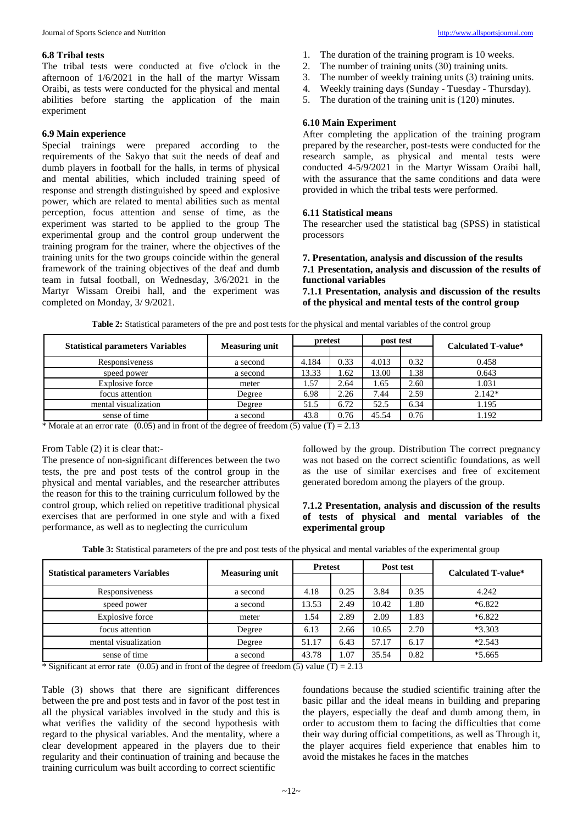### **6.8 Tribal tests**

The tribal tests were conducted at five o'clock in the afternoon of 1/6/2021 in the hall of the martyr Wissam Oraibi, as tests were conducted for the physical and mental abilities before starting the application of the main experiment

### **6.9 Main experience**

Special trainings were prepared according to the requirements of the Sakyo that suit the needs of deaf and dumb players in football for the halls, in terms of physical and mental abilities, which included training speed of response and strength distinguished by speed and explosive power, which are related to mental abilities such as mental perception, focus attention and sense of time, as the experiment was started to be applied to the group The experimental group and the control group underwent the training program for the trainer, where the objectives of the training units for the two groups coincide within the general framework of the training objectives of the deaf and dumb team in futsal football, on Wednesday, 3/6/2021 in the Martyr Wissam Oreibi hall, and the experiment was completed on Monday, 3/ 9/2021.

- 1. The duration of the training program is 10 weeks.
- 2. The number of training units (30) training units.
- 3. The number of weekly training units (3) training units.
- 4. Weekly training days (Sunday Tuesday Thursday).
- 5. The duration of the training unit is (120) minutes.

### **6.10 Main Experiment**

After completing the application of the training program prepared by the researcher, post-tests were conducted for the research sample, as physical and mental tests were conducted 4-5/9/2021 in the Martyr Wissam Oraibi hall, with the assurance that the same conditions and data were provided in which the tribal tests were performed.

### **6.11 Statistical means**

The researcher used the statistical bag (SPSS) in statistical processors

#### **7. Presentation, analysis and discussion of the results 7.1 Presentation, analysis and discussion of the results of functional variables**

**7.1.1 Presentation, analysis and discussion of the results of the physical and mental tests of the control group**

| <b>Statistical parameters Variables</b> | <b>Measuring unit</b> | pretest |      | post test |      | <b>Calculated T-value*</b> |
|-----------------------------------------|-----------------------|---------|------|-----------|------|----------------------------|
|                                         |                       |         |      |           |      |                            |
| Responsiveness                          | a second              | 4.184   | 0.33 | 4.013     | 0.32 | 0.458                      |
| speed power                             | a second              | 13.33   | 1.62 | 13.00     | 1.38 | 0.643                      |
| Explosive force                         | meter                 | .57     | 2.64 | 1.65      | 2.60 | 1.031                      |
| focus attention                         | Degree                | 6.98    | 2.26 | 7.44      | 2.59 | $2.142*$                   |
| mental visualization                    | Degree                | 51.5    | 6.72 | 52.5      | 6.34 | 1.195                      |
| sense of time                           | a second              | 43.8    | 0.76 | 45.54     | 0.76 | 1.192                      |

**Table 2:** Statistical parameters of the pre and post tests for the physical and mental variables of the control group

\* Morale at an error rate (0.05) and in front of the degree of freedom (5) value (T) = 2.13

### From Table (2) it is clear that:-

The presence of non-significant differences between the two tests, the pre and post tests of the control group in the physical and mental variables, and the researcher attributes the reason for this to the training curriculum followed by the control group, which relied on repetitive traditional physical exercises that are performed in one style and with a fixed performance, as well as to neglecting the curriculum

followed by the group. Distribution The correct pregnancy was not based on the correct scientific foundations, as well as the use of similar exercises and free of excitement generated boredom among the players of the group.

### **7.1.2 Presentation, analysis and discussion of the results of tests of physical and mental variables of the experimental group**

|                                         |                       | <b>Pretest</b> |      | Post test |      | Calculated T-value* |
|-----------------------------------------|-----------------------|----------------|------|-----------|------|---------------------|
| <b>Statistical parameters Variables</b> | <b>Measuring unit</b> |                |      |           |      |                     |
| Responsiveness                          | a second              | 4.18           | 0.25 | 3.84      | 0.35 | 4.242               |
| speed power                             | a second              | 13.53          | 2.49 | 10.42     | 1.80 | $*6.822$            |
| <b>Explosive force</b>                  | meter                 | l.54           | 2.89 | 2.09      | 1.83 | $*6.822$            |
| focus attention                         | Degree                | 6.13           | 2.66 | 10.65     | 2.70 | $*3.303$            |
| mental visualization                    | Degree                |                | 6.43 | 57.17     | 6.17 | $*2.543$            |
| sense of time                           | a second              |                | .07  | 35.54     | 0.82 | $*5.665$            |

**Table 3:** Statistical parameters of the pre and post tests of the physical and mental variables of the experimental group

\* Significant at error rate  $(0.05)$  and in front of the degree of freedom (5) value (T) = 2.13

Table (3) shows that there are significant differences between the pre and post tests and in favor of the post test in all the physical variables involved in the study and this is what verifies the validity of the second hypothesis with regard to the physical variables. And the mentality, where a clear development appeared in the players due to their regularity and their continuation of training and because the training curriculum was built according to correct scientific

foundations because the studied scientific training after the basic pillar and the ideal means in building and preparing the players, especially the deaf and dumb among them, in order to accustom them to facing the difficulties that come their way during official competitions, as well as Through it, the player acquires field experience that enables him to avoid the mistakes he faces in the matches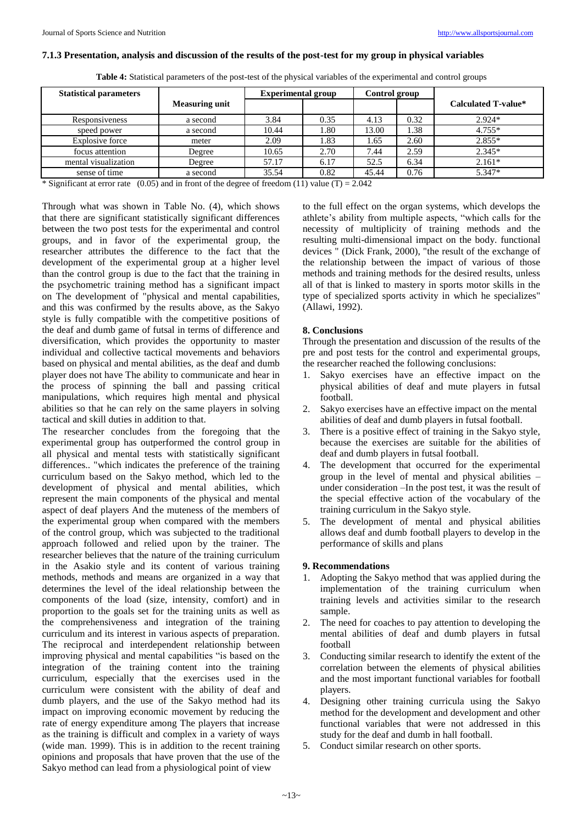### **7.1.3 Presentation, analysis and discussion of the results of the post-test for my group in physical variables**

**Table 4:** Statistical parameters of the post-test of the physical variables of the experimental and control groups

| <b>Statistical parameters</b>                                                                         |                       | <b>Experimental group</b> |      | Control group |      |                     |  |
|-------------------------------------------------------------------------------------------------------|-----------------------|---------------------------|------|---------------|------|---------------------|--|
|                                                                                                       | <b>Measuring unit</b> |                           |      |               |      | Calculated T-value* |  |
| Responsiveness                                                                                        | a second              | 3.84                      | 0.35 | 4.13          | 0.32 | $2.924*$            |  |
| speed power                                                                                           | a second              | 10.44                     | 1.80 | 13.00         | l.38 | $4.755*$            |  |
| Explosive force                                                                                       | meter                 | 2.09                      | 1.83 | 1.65          | 2.60 | $2.855*$            |  |
| focus attention                                                                                       | Degree                | 10.65                     | 2.70 | 7.44          | 2.59 | $2.345*$            |  |
| mental visualization                                                                                  | Degree                | 57.17                     | 6.17 | 52.5          | 6.34 | $2.161*$            |  |
| sense of time                                                                                         | a second              | 35.54                     | 0.82 | 45.44         | 0.76 | 5.347*              |  |
| * Significant at error rate $(0.05)$ and in front of the degree of freedom $(11)$ value $(T) = 2.042$ |                       |                           |      |               |      |                     |  |

\* Significant at error rate  $(0.05)$  and in front of the degree of freedom (11) value (T) = 2.042

Through what was shown in Table No. (4), which shows that there are significant statistically significant differences between the two post tests for the experimental and control groups, and in favor of the experimental group, the researcher attributes the difference to the fact that the development of the experimental group at a higher level than the control group is due to the fact that the training in the psychometric training method has a significant impact on The development of "physical and mental capabilities, and this was confirmed by the results above, as the Sakyo style is fully compatible with the competitive positions of the deaf and dumb game of futsal in terms of difference and diversification, which provides the opportunity to master individual and collective tactical movements and behaviors based on physical and mental abilities, as the deaf and dumb player does not have The ability to communicate and hear in the process of spinning the ball and passing critical manipulations, which requires high mental and physical abilities so that he can rely on the same players in solving tactical and skill duties in addition to that.

The researcher concludes from the foregoing that the experimental group has outperformed the control group in all physical and mental tests with statistically significant differences.. "which indicates the preference of the training curriculum based on the Sakyo method, which led to the development of physical and mental abilities, which represent the main components of the physical and mental aspect of deaf players And the muteness of the members of the experimental group when compared with the members of the control group, which was subjected to the traditional approach followed and relied upon by the trainer. The researcher believes that the nature of the training curriculum in the Asakio style and its content of various training methods, methods and means are organized in a way that determines the level of the ideal relationship between the components of the load (size, intensity, comfort) and in proportion to the goals set for the training units as well as the comprehensiveness and integration of the training curriculum and its interest in various aspects of preparation. The reciprocal and interdependent relationship between improving physical and mental capabilities "is based on the integration of the training content into the training curriculum, especially that the exercises used in the curriculum were consistent with the ability of deaf and dumb players, and the use of the Sakyo method had its impact on improving economic movement by reducing the rate of energy expenditure among The players that increase as the training is difficult and complex in a variety of ways (wide man. 1999). This is in addition to the recent training opinions and proposals that have proven that the use of the Sakyo method can lead from a physiological point of view

to the full effect on the organ systems, which develops the athlete's ability from multiple aspects, "which calls for the necessity of multiplicity of training methods and the resulting multi-dimensional impact on the body. functional devices " (Dick Frank, 2000), "the result of the exchange of the relationship between the impact of various of those methods and training methods for the desired results, unless all of that is linked to mastery in sports motor skills in the type of specialized sports activity in which he specializes" (Allawi, 1992).

### **8. Conclusions**

Through the presentation and discussion of the results of the pre and post tests for the control and experimental groups, the researcher reached the following conclusions:

- 1. Sakyo exercises have an effective impact on the physical abilities of deaf and mute players in futsal football.
- 2. Sakyo exercises have an effective impact on the mental abilities of deaf and dumb players in futsal football.
- 3. There is a positive effect of training in the Sakyo style, because the exercises are suitable for the abilities of deaf and dumb players in futsal football.
- 4. The development that occurred for the experimental group in the level of mental and physical abilities – under consideration –In the post test, it was the result of the special effective action of the vocabulary of the training curriculum in the Sakyo style.
- 5. The development of mental and physical abilities allows deaf and dumb football players to develop in the performance of skills and plans

### **9. Recommendations**

- 1. Adopting the Sakyo method that was applied during the implementation of the training curriculum when training levels and activities similar to the research sample.
- 2. The need for coaches to pay attention to developing the mental abilities of deaf and dumb players in futsal football
- 3. Conducting similar research to identify the extent of the correlation between the elements of physical abilities and the most important functional variables for football players.
- 4. Designing other training curricula using the Sakyo method for the development and development and other functional variables that were not addressed in this study for the deaf and dumb in hall football.
- 5. Conduct similar research on other sports.